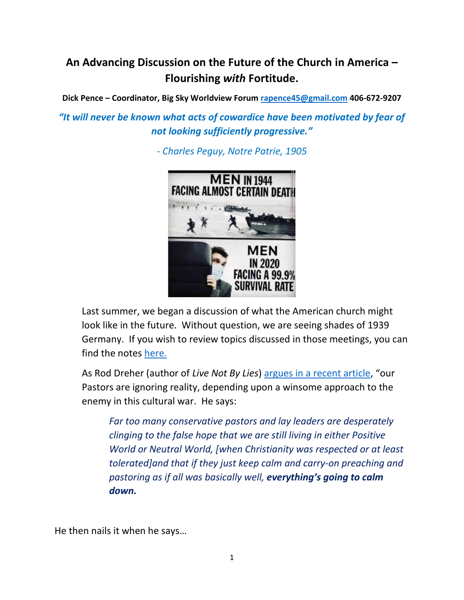# **An Advancing Discussion on the Future of the Church in America – Flourishing** *with* **Fortitude.**

**Dick Pence – Coordinator, Big Sky Worldview Forum [rapence45@gmail.com](mailto:rapence45@gmail.com) 406-672-9207**

*"It will never be known what acts of cowardice have been motivated by fear of not looking sufficiently progressive."*

*- Charles Peguy, Notre Patrie, 1905*



Last summer, we began a discussion of what the American church might look like in the future. Without question, we are seeing shades of 1939 Germany. If you wish to review topics discussed in those meetings, you can find the notes [here.](https://www.bigskyworldview.org/content/docs/Library/August_Discovering_Directions_for_Future_Flourishing_August.pdf)

As Rod Dreher (author of *Live Not By Lies*) [argues in a recent article](https://www.bigskyworldview.org/content/docs/links/Tim_Keller_Myxomatosis_ChristiansRod_Dryer_on_Tim_Keller.pdf), "our Pastors are ignoring reality, depending upon a winsome approach to the enemy in this cultural war. He says:

*Far too many conservative pastors and lay leaders are desperately clinging to the false hope that we are still living in either Positive World or Neutral World, [when Christianity was respected or at least tolerated]and that if they just keep calm and carry-on preaching and pastoring as if all was basically well, everything's going to calm down.*

He then nails it when he says…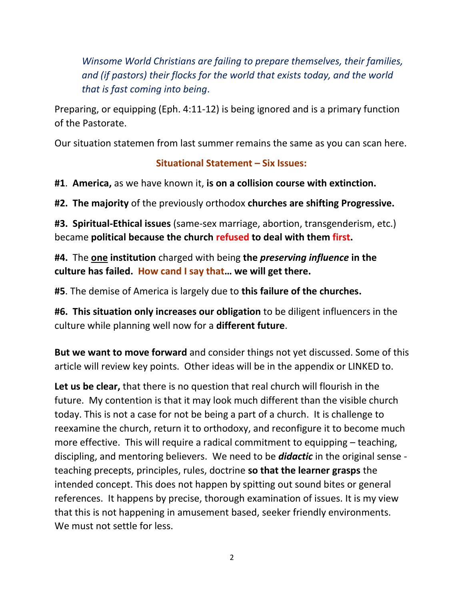*Winsome World Christians are failing to prepare themselves, their families, and (if pastors) their flocks for the world that exists today, and the world that is fast coming into being*.

Preparing, or equipping (Eph. 4:11-12) is being ignored and is a primary function of the Pastorate.

Our situation statemen from last summer remains the same as you can scan here.

### **Situational Statement – Six Issues:**

**#1**. **America,** as we have known it, **is on a collision course with extinction.** 

**#2. The majority** of the previously orthodox **churches are shifting Progressive.**

**#3. Spiritual-Ethical issues** (same-sex marriage, abortion, transgenderism, etc.) became **political because the church refused to deal with them first.** 

**#4.** The **one institution** charged with being **the** *preserving influence* **in the culture has failed. How cand I say that… we will get there.**

**#5**. The demise of America is largely due to **this failure of the churches.**

**#6. This situation only increases our obligation** to be diligent influencers in the culture while planning well now for a **different future**.

**But we want to move forward** and consider things not yet discussed. Some of this article will review key points. Other ideas will be in the appendix or LINKED to.

**Let us be clear,** that there is no question that real church will flourish in the future. My contention is that it may look much different than the visible church today. This is not a case for not be being a part of a church. It is challenge to reexamine the church, return it to orthodoxy, and reconfigure it to become much more effective. This will require a radical commitment to equipping – teaching, discipling, and mentoring believers. We need to be *didactic* in the original sense teaching precepts, principles, rules, doctrine **so that the learner grasps** the intended concept. This does not happen by spitting out sound bites or general references. It happens by precise, thorough examination of issues. It is my view that this is not happening in amusement based, seeker friendly environments. We must not settle for less.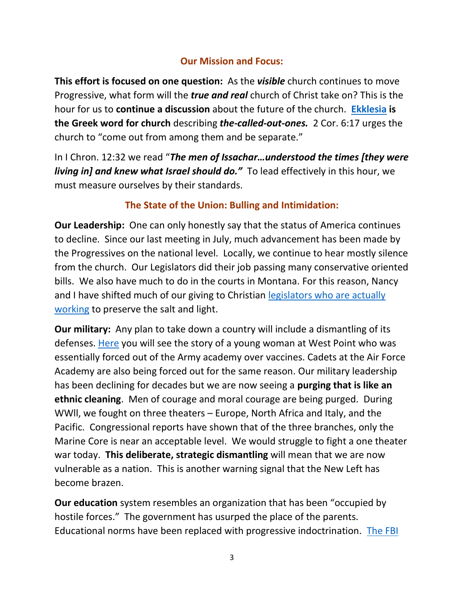### **Our Mission and Focus:**

**This effort is focused on one question:** As the *visible* church continues to move Progressive, what form will the *true and real* church of Christ take on? This is the hour for us to **continue a discussion** about the future of the church. **[Ekklesia](https://www.bing.com/search?q=ekklesia+means&form=ANSPH1&refig=26b656fb2b12496fb5df4457bc0c9cb9&pc=U531&sp=3&qs=HS&pq=e&sk=PRES1HS2&sc=8-1&cvid=26b656fb2b12496fb5df4457bc0c9cb9) is the Greek word for church** describing *the-called-out-ones.* 2 Cor. 6:17 urges the church to "come out from among them and be separate."

In I Chron. 12:32 we read "*The men of Issachar…understood the times [they were living in] and knew what Israel should do."* To lead effectively in this hour, we must measure ourselves by their standards.

### **The State of the Union: Bulling and Intimidation:**

**Our Leadership:** One can only honestly say that the status of America continues to decline. Since our last meeting in July, much advancement has been made by the Progressives on the national level. Locally, we continue to hear mostly silence from the church. Our Legislators did their job passing many conservative oriented bills. We also have much to do in the courts in Montana. For this reason, Nancy and I have shifted much of our giving to Christian legislators who are actually [working](https://www.bigskyworldview.org/content/docs/Library/Conservative_Churches_Need_to_Speak_Out_on_Issues.pdf) to preserve the salt and light.

**Our military:** Any plan to take down a country will include a dismantling of its defenses. [Here](https://thefederalist.com/2021/11/04/how-covid-vaccine-coercion-drove-me-out-of-west-point/?utm_source=newsletter&utm_medium=email&utm_campaign=the_federalist_daily_briefing_2021_11_04&utm_term=2021-11-04) you will see the story of a young woman at West Point who was essentially forced out of the Army academy over vaccines. Cadets at the Air Force Academy are also being forced out for the same reason. Our military leadership has been declining for decades but we are now seeing a **purging that is like an ethnic cleaning**. Men of courage and moral courage are being purged. During WWll, we fought on three theaters – Europe, North Africa and Italy, and the Pacific. Congressional reports have shown that of the three branches, only the Marine Core is near an acceptable level. We would struggle to fight a one theater war today. **This deliberate, strategic dismantling** will mean that we are now vulnerable as a nation. This is another warning signal that the New Left has become brazen.

**Our education** system resembles an organization that has been "occupied by hostile forces." The government has usurped the place of the parents. Educational norms have been replaced with progressive indoctrination. [The FBI](https://www.foxnews.com/media/virginia-mother-feds-helicopter-school-board-meeting-threats)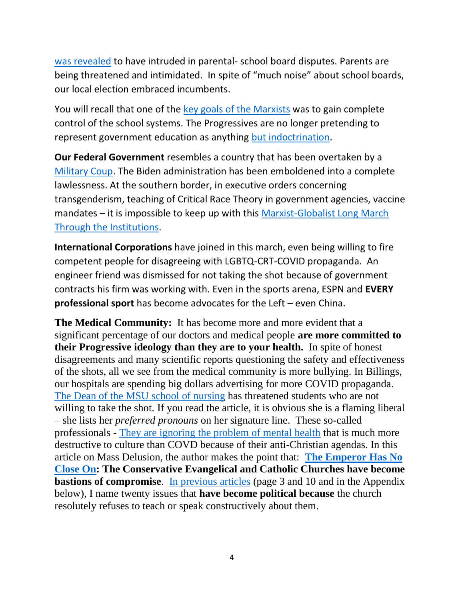[was revealed](https://www.foxnews.com/media/virginia-mother-feds-helicopter-school-board-meeting-threats) to have intruded in parental- school board disputes. Parents are being threatened and intimidated. In spite of "much noise" about school boards, our local election embraced incumbents.

You will recall that one of the [key goals of the Marxists](https://www.bigskyworldview.org/content/docs/Library/45_Goals_of_Communism_In_America_PDF1.pdf) was to gain complete control of the school systems. The Progressives are no longer pretending to represent government education as anything [but indoctrination.](https://www.bigskyworldview.org/content/docs/Library/How_the_Education_System_Indoctrinates_Students_Without_US.pdf)

**Our Federal Government** resembles a country that has been overtaken by a [Military Coup.](https://lawofmarkets.com/2021/01/26/if-there-were-a-military-coup-in-the-united-states-it-would-look-just-like-this/) The Biden administration has been emboldened into a complete lawlessness. At the southern border, in executive orders concerning transgenderism, teaching of Critical Race Theory in government agencies, vaccine mandates – it is impossible to keep up with this [Marxist-Globalist Long March](https://en.wikipedia.org/wiki/Long_march_through_the_institutions)  [Through the Institutions.](https://en.wikipedia.org/wiki/Long_march_through_the_institutions)

**International Corporations** have joined in this march, even being willing to fire competent people for disagreeing with LGBTQ-CRT-COVID propaganda. An engineer friend was dismissed for not taking the shot because of government contracts his firm was working with. Even in the sports arena, ESPN and **EVERY professional sport** has become advocates for the Left – even China.

**The Medical Community:** It has become more and more evident that a significant percentage of our doctors and medical people **are more committed to their Progressive ideology than they are to your health.** In spite of honest disagreements and many scientific reports questioning the safety and effectiveness of the shots, all we see from the medical community is more bullying. In Billings, our hospitals are spending big dollars advertising for more COVID propaganda. [The Dean of the MSU school of nursing](https://www.bigskyworldview.org/content/docs/Library/MSU_College_of_Nursing_Threats_and_Intimidation.pdf) has threatened students who are not willing to take the shot. If you read the article, it is obvious she is a flaming liberal – she lists her *preferred pronouns* on her signature line. These so-called professionals - [They are ignoring the problem of mental health](https://articles.mercola.com/sites/articles/archive/2021/10/28/mass-psychosis-real-global-pandemic.aspx?ui=38ca33c27b2e163982e22d983597c38b92544d626aff1101697cd58e31074806&sd=20130424&cid_source=dnl&cid_medium=email&cid_content=art1ReadMore&cid=20211028&mid=DM1029208&rid=1305885200) that is much more destructive to culture than COVD because of their anti-Christian agendas. In this article on Mass Delusion, the author makes the point that: **[The Emperor](https://www.bookbrowse.com/expressions/detail/index.cfm/expression_number/605/the-emperor-has-no-clothes) Has No [Close On:](https://www.bookbrowse.com/expressions/detail/index.cfm/expression_number/605/the-emperor-has-no-clothes) The Conservative Evangelical and Catholic Churches have become bastions of compromise.** [In previous articles](https://www.bigskyworldview.org/content/docs/Library/Discovering_Directions_for_Future_Flourishing.pdf) (page 3 and 10 and in the Appendix below), I name twenty issues that **have become political because** the church resolutely refuses to teach or speak constructively about them.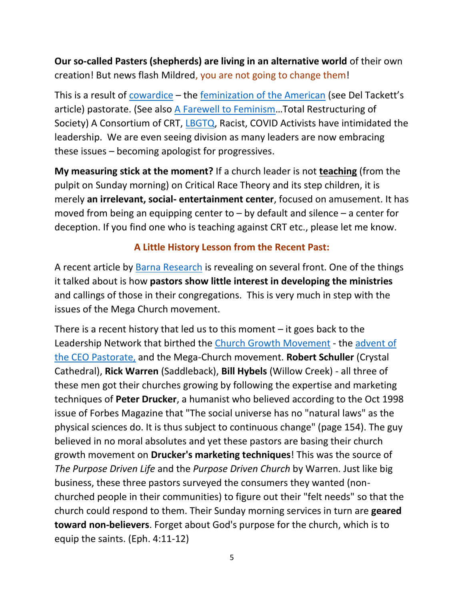**Our so-called Pasters (shepherds) are living in an alternative world** of their own creation! But news flash Mildred, you are not going to change them!

This is a result of [cowardice](https://www.bigskyworldview.org/content/docs/Library/We_Got_Here_Because_of_Cowardice._We_Get_Out_With_Courage_-_Bari_Weiss_Commentary_Magazine.pdf) – the [feminization of the American](https://www.bigskyworldview.org/content/docs/Library/3_7_Threats_in_Our_Times_-_The_Loss_of_the_Nobel_Male_and_Rise_of_Malevolent_Compassion_Marked.pdf) (see Del Tackett's article) pastorate. (See also [A Farewell to Feminism](https://www.bigskyworldview.org/content/docs/Library/A_Farewell_to_Feminism.pdf)…Total Restructuring of Society) A Consortium of CRT, [LBGTQ,](https://www.bigskyworldview.org/content/docs/Library/How_Radical_Feminism_Sowed_the_Seeds_of_Our_Transgender_Moment_pdf.pdf) Racist, COVID Activists have intimidated the leadership. We are even seeing division as many leaders are now embracing these issues – becoming apologist for progressives.

**My measuring stick at the moment?** If a church leader is not **teaching** (from the pulpit on Sunday morning) on Critical Race Theory and its step children, it is merely **an irrelevant, social- entertainment center**, focused on amusement. It has moved from being an equipping center to – by default and silence – a center for deception. If you find one who is teaching against CRT etc., please let me know.

### **A Little History Lesson from the Recent Past:**

A recent article by [Barna Research](https://www.bigskyworldview.org/content/docs/Library/New_Research_Points_to_Gaps_in_How_Churches_Support_Congregants_Gifts_-_Barna_Group.pdf) is revealing on several front. One of the things it talked about is how **pastors show little interest in developing the ministries** and callings of those in their congregations. This is very much in step with the issues of the Mega Church movement.

There is a recent history that led us to this moment – it goes back to the Leadership Network that birthed the [Church Growth Movement](https://www.bigskyworldview.org/content/docs/Library/CHURCH_GROWTH_MOVEMENT_Revival_or_Apostacy.pdf) - the [advent of](https://www.bigskyworldview.org/content/docs/Library/Flow_Chart_of_Emergent_Leaders.pdf)  [the CEO Pastorate,](https://www.bigskyworldview.org/content/docs/Library/Flow_Chart_of_Emergent_Leaders.pdf) and the Mega-Church movement. **Robert Schuller** (Crystal Cathedral), **Rick Warren** (Saddleback), **Bill Hybels** (Willow Creek) - all three of these men got their churches growing by following the expertise and marketing techniques of **Peter Drucker**, a humanist who believed according to the Oct 1998 issue of Forbes Magazine that "The social universe has no "natural laws" as the physical sciences do. It is thus subject to continuous change" (page 154). The guy believed in no moral absolutes and yet these pastors are basing their church growth movement on **Drucker's marketing techniques**! This was the source of *The Purpose Driven Life* and the *Purpose Driven Church* by Warren. Just like big business, these three pastors surveyed the consumers they wanted (nonchurched people in their communities) to figure out their "felt needs" so that the church could respond to them. Their Sunday morning services in turn are **geared toward non-believers**. Forget about God's purpose for the church, which is to equip the saints. (Eph. 4:11-12)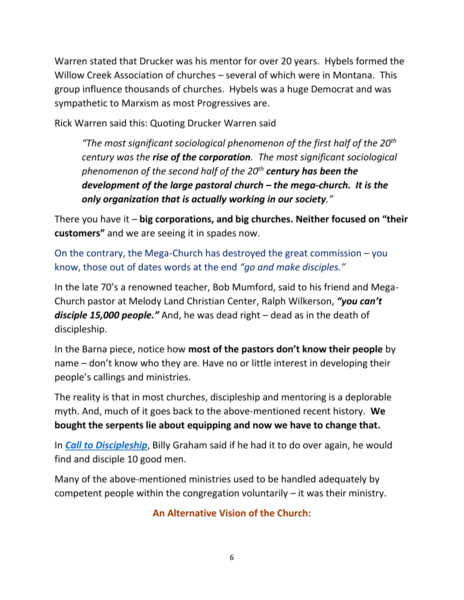Warren stated that Drucker was his mentor for over 20 years. Hybels formed the Willow Creek Association of churches – several of which were in Montana. This group influence thousands of churches. Hybels was a huge Democrat and was sympathetic to Marxism as most Progressives are.

Rick Warren said this: Quoting Drucker Warren said

*"The most significant sociological phenomenon of the first half of the 20th century was the rise of the corporation. The most significant sociological phenomenon of the second half of the 20th century has been the development of the large pastoral church – the mega-church. It is the only organization that is actually working in our society."*

There you have it – **big corporations, and big churches. Neither focused on "their customers"** and we are seeing it in spades now.

On the contrary, the Mega-Church has destroyed the great commission – you know, those out of dates words at the end *"go and make disciples."*

In the late 70's a renowned teacher, Bob Mumford, said to his friend and Mega-Church pastor at Melody Land Christian Center, Ralph Wilkerson, *"you can't disciple 15,000 people."* And, he was dead right – dead as in the death of discipleship.

In the Barna piece, notice how **most of the pastors don't know their people** by name – don't know who they are. Have no or little interest in developing their people's callings and ministries.

The reality is that in most churches, discipleship and mentoring is a deplorable myth. And, much of it goes back to the above-mentioned recent history. **We bought the serpents lie about equipping and now we have to change that.**

In *[Call to Discipleship](https://www.amazon.com/Discipleship-Carlos-Buckingham-Jamie-Ortiz/dp/0882701223/ref=sr_1_1?crid=2AOJJTFLDO0WR&dchild=1&keywords=call+to+discipleship+Ortiz&qid=1635888714&qsid=143-7878618-6697625&s=books&sprefix=call+to+discipleship+ortiz%2Cstripbooks%2C140&sr=1-1&sres=0882701223&srpt=ABIS_BOOK)*, Billy Graham said if he had it to do over again, he would find and disciple 10 good men.

Many of the above-mentioned ministries used to be handled adequately by competent people within the congregation voluntarily – it was their ministry.

#### **An Alternative Vision of the Church:**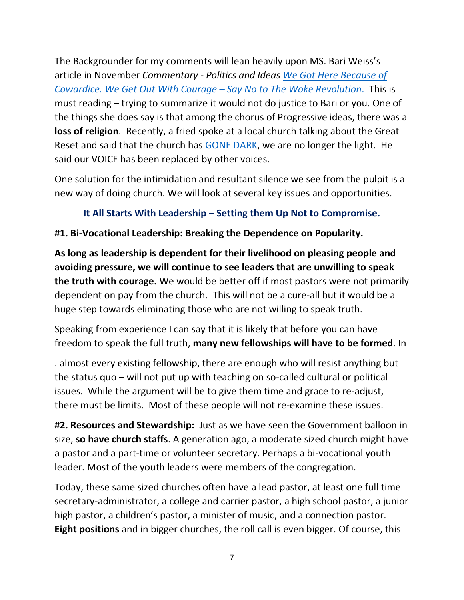The Backgrounder for my comments will lean heavily upon MS. Bari Weiss's article in November *Commentary - Politics and Ideas [We Got Here Because of](https://www.bigskyworldview.org/content/docs/Library/We_Got_Here_Because_of_Cowardice._We_Get_Out_With_Courage_-_Bari_Weiss_Commentary_Magazine.pdf)  [Cowardice. We Get Out With Courage](https://www.bigskyworldview.org/content/docs/Library/We_Got_Here_Because_of_Cowardice._We_Get_Out_With_Courage_-_Bari_Weiss_Commentary_Magazine.pdf) – Say No to The Woke Revolution*. This is must reading – trying to summarize it would not do justice to Bari or you. One of the things she does say is that among the chorus of Progressive ideas, there was a **loss of religion**. Recently, a fried spoke at a local church talking about the Great Reset and said that the church has [GONE DARK,](https://www.bigskyworldview.org/content/docs/Library/Pastor_Mike_McGovern_The_Great_Reset.pdf) we are no longer the light. He said our VOICE has been replaced by other voices.

One solution for the intimidation and resultant silence we see from the pulpit is a new way of doing church. We will look at several key issues and opportunities.

### **It All Starts With Leadership – Setting them Up Not to Compromise.**

### **#1. Bi-Vocational Leadership: Breaking the Dependence on Popularity.**

**As long as leadership is dependent for their livelihood on pleasing people and avoiding pressure, we will continue to see leaders that are unwilling to speak the truth with courage.** We would be better off if most pastors were not primarily dependent on pay from the church. This will not be a cure-all but it would be a huge step towards eliminating those who are not willing to speak truth.

Speaking from experience I can say that it is likely that before you can have freedom to speak the full truth, **many new fellowships will have to be formed**. In

. almost every existing fellowship, there are enough who will resist anything but the status quo – will not put up with teaching on so-called cultural or political issues. While the argument will be to give them time and grace to re-adjust, there must be limits. Most of these people will not re-examine these issues.

**#2. Resources and Stewardship:** Just as we have seen the Government balloon in size, **so have church staffs**. A generation ago, a moderate sized church might have a pastor and a part-time or volunteer secretary. Perhaps a bi-vocational youth leader. Most of the youth leaders were members of the congregation.

Today, these same sized churches often have a lead pastor, at least one full time secretary-administrator, a college and carrier pastor, a high school pastor, a junior high pastor, a children's pastor, a minister of music, and a connection pastor. **Eight positions** and in bigger churches, the roll call is even bigger. Of course, this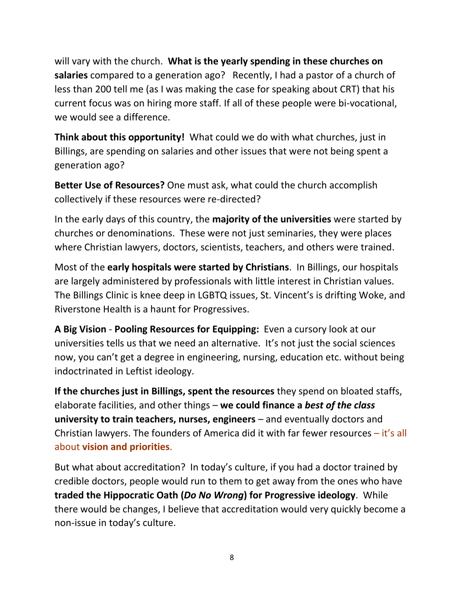will vary with the church. **What is the yearly spending in these churches on salaries** compared to a generation ago? Recently, I had a pastor of a church of less than 200 tell me (as I was making the case for speaking about CRT) that his current focus was on hiring more staff. If all of these people were bi-vocational, we would see a difference.

**Think about this opportunity!** What could we do with what churches, just in Billings, are spending on salaries and other issues that were not being spent a generation ago?

**Better Use of Resources?** One must ask, what could the church accomplish collectively if these resources were re-directed?

In the early days of this country, the **majority of the universities** were started by churches or denominations. These were not just seminaries, they were places where Christian lawyers, doctors, scientists, teachers, and others were trained.

Most of the **early hospitals were started by Christians**. In Billings, our hospitals are largely administered by professionals with little interest in Christian values. The Billings Clinic is knee deep in LGBTQ issues, St. Vincent's is drifting Woke, and Riverstone Health is a haunt for Progressives.

**A Big Vision** - **Pooling Resources for Equipping:** Even a cursory look at our universities tells us that we need an alternative. It's not just the social sciences now, you can't get a degree in engineering, nursing, education etc. without being indoctrinated in Leftist ideology.

**If the churches just in Billings, spent the resources** they spend on bloated staffs, elaborate facilities, and other things – **we could finance a** *best of the class* **university to train teachers, nurses, engineers** – and eventually doctors and Christian lawyers. The founders of America did it with far fewer resources – it's all about **vision and priorities**.

But what about accreditation? In today's culture, if you had a doctor trained by credible doctors, people would run to them to get away from the ones who have **traded the Hippocratic Oath (***Do No Wrong***) for Progressive ideology**. While there would be changes, I believe that accreditation would very quickly become a non-issue in today's culture.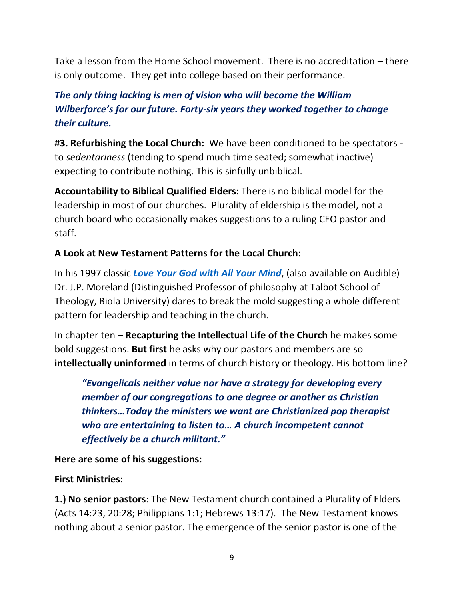Take a lesson from the Home School movement. There is no accreditation – there is only outcome. They get into college based on their performance.

# *The only thing lacking is men of vision who will become the William Wilberforce's for our future. Forty-six years they worked together to change their culture.*

**#3. Refurbishing the Local Church:** We have been conditioned to be spectators to *sedentariness* (tending to spend much time seated; somewhat inactive) expecting to contribute nothing. This is sinfully unbiblical.

**Accountability to Biblical Qualified Elders:** There is no biblical model for the leadership in most of our churches. Plurality of eldership is the model, not a church board who occasionally makes suggestions to a ruling CEO pastor and staff.

#### **A Look at New Testament Patterns for the Local Church:**

In his 1997 classic *[Love Your God with All Your Mind](https://www.amazon.com/Love-Your-God-All-Mind/dp/1617479004/ref=sr_1_1?crid=14B1CUKNLQ9RK&keywords=love+god+with+all+your+mind+jp+moreland&qid=1653840919&sprefix=Love+God+Wi%2Caps%2C166&sr=8-1)*, (also available on Audible) Dr. J.P. Moreland (Distinguished Professor of philosophy at Talbot School of Theology, Biola University) dares to break the mold suggesting a whole different pattern for leadership and teaching in the church.

In chapter ten – **Recapturing the Intellectual Life of the Church** he makes some bold suggestions. **But first** he asks why our pastors and members are so **intellectually uninformed** in terms of church history or theology. His bottom line?

*"Evangelicals neither value nor have a strategy for developing every member of our congregations to one degree or another as Christian thinkers…Today the ministers we want are Christianized pop therapist who are entertaining to listen to… A church incompetent cannot effectively be a church militant."* 

**Here are some of his suggestions:**

#### **First Ministries:**

**1.) No senior pastors**: The New Testament church contained a Plurality of Elders (Acts 14:23, 20:28; Philippians 1:1; Hebrews 13:17). The New Testament knows nothing about a senior pastor. The emergence of the senior pastor is one of the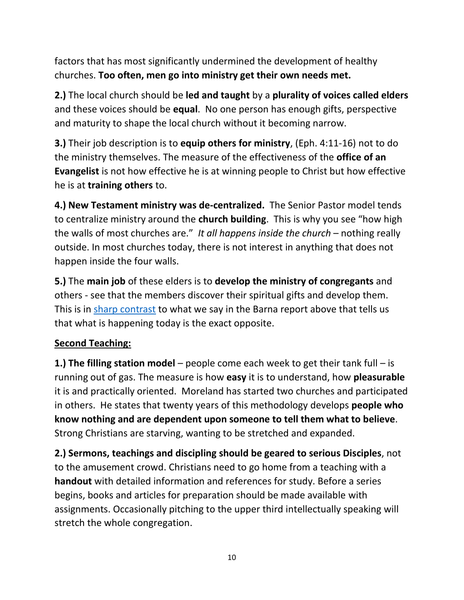factors that has most significantly undermined the development of healthy churches. **Too often, men go into ministry get their own needs met.**

**2.)** The local church should be **led and taught** by a **plurality of voices called elders** and these voices should be **equal**. No one person has enough gifts, perspective and maturity to shape the local church without it becoming narrow.

**3.)** Their job description is to **equip others for ministry**, (Eph. 4:11-16) not to do the ministry themselves. The measure of the effectiveness of the **office of an Evangelist** is not how effective he is at winning people to Christ but how effective he is at **training others** to.

**4.) New Testament ministry was de-centralized.** The Senior Pastor model tends to centralize ministry around the **church building**. This is why you see "how high the walls of most churches are." *It all happens inside the church* – nothing really outside. In most churches today, there is not interest in anything that does not happen inside the four walls.

**5.)** The **main job** of these elders is to **develop the ministry of congregants** and others - see that the members discover their spiritual gifts and develop them. This is in [sharp contrast](https://www.bigskyworldview.org/content/docs/Library/New_Research_Points_to_Gaps_in_How_Churches_Support_Congregants_Gifts_-_Barna_Group.pdf) to what we say in the Barna report above that tells us that what is happening today is the exact opposite.

## **Second Teaching:**

**1.) The filling station model** – people come each week to get their tank full – is running out of gas. The measure is how **easy** it is to understand, how **pleasurable** it is and practically oriented. Moreland has started two churches and participated in others. He states that twenty years of this methodology develops **people who know nothing and are dependent upon someone to tell them what to believe**. Strong Christians are starving, wanting to be stretched and expanded.

**2.) Sermons, teachings and discipling should be geared to serious Disciples**, not to the amusement crowd. Christians need to go home from a teaching with a **handout** with detailed information and references for study. Before a series begins, books and articles for preparation should be made available with assignments. Occasionally pitching to the upper third intellectually speaking will stretch the whole congregation.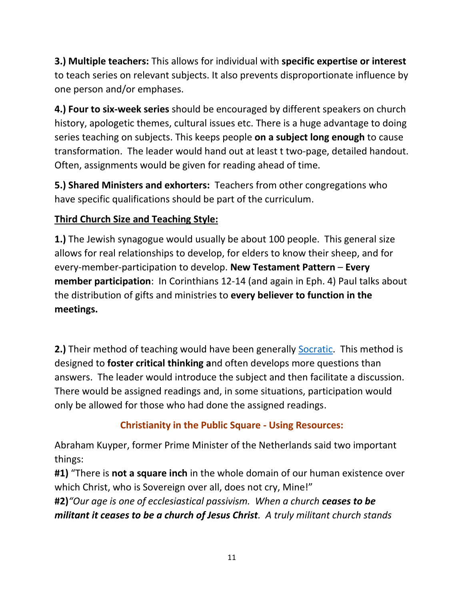**3.) Multiple teachers:** This allows for individual with **specific expertise or interest** to teach series on relevant subjects. It also prevents disproportionate influence by one person and/or emphases.

**4.) Four to six-week series** should be encouraged by different speakers on church history, apologetic themes, cultural issues etc. There is a huge advantage to doing series teaching on subjects. This keeps people **on a subject long enough** to cause transformation. The leader would hand out at least t two-page, detailed handout. Often, assignments would be given for reading ahead of time.

**5.) Shared Ministers and exhorters:** Teachers from other congregations who have specific qualifications should be part of the curriculum.

# **Third Church Size and Teaching Style:**

**1.)** The Jewish synagogue would usually be about 100 people. This general size allows for real relationships to develop, for elders to know their sheep, and for every-member-participation to develop. **New Testament Pattern** – **Every member participation**: In Corinthians 12-14 (and again in Eph. 4) Paul talks about the distribution of gifts and ministries to **every believer to function in the meetings.**

**2.)** Their method of teaching would have been generally **Socratic.** This method is designed to **foster critical thinking a**nd often develops more questions than answers. The leader would introduce the subject and then facilitate a discussion. There would be assigned readings and, in some situations, participation would only be allowed for those who had done the assigned readings.

## **Christianity in the Public Square - Using Resources:**

Abraham Kuyper, former Prime Minister of the Netherlands said two important things:

**#1)** "There is **not a square inch** in the whole domain of our human existence over which Christ, who is Sovereign over all, does not cry, Mine!"

**#2)***"Our age is one of ecclesiastical passivism. When a church ceases to be militant it ceases to be a church of Jesus Christ. A truly militant church stands*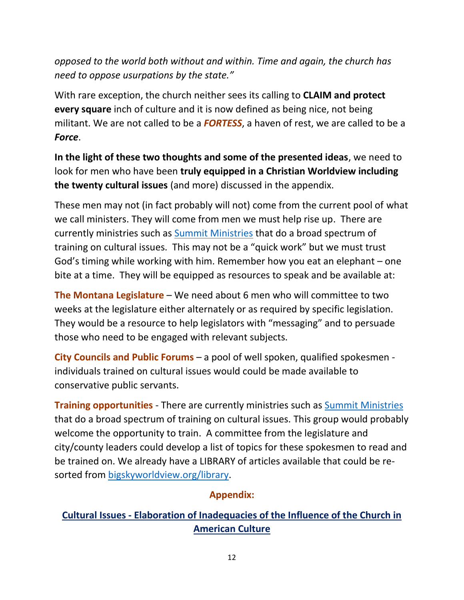*opposed to the world both without and within. Time and again, the church has need to oppose usurpations by the state."* 

With rare exception, the church neither sees its calling to **CLAIM and protect every square** inch of culture and it is now defined as being nice, not being militant. We are not called to be a *FORTESS*, a haven of rest, we are called to be a *Force*.

**In the light of these two thoughts and some of the presented ideas**, we need to look for men who have been **truly equipped in a Christian Worldview including the twenty cultural issues** (and more) discussed in the appendix.

These men may not (in fact probably will not) come from the current pool of what we call ministers. They will come from men we must help rise up. There are currently ministries such as [Summit Ministries](https://www.summit.org/programs/student-conferences/?ims=sc-bing-general&utm_campaign=studentconferences&utm_source=parable&utm_medium=bing&utm_content=bing_general&imt=1&msclkid=5f84b67007131d84f29dd4e3b1120fcc&utm_campaign=studentconferences&utm_source=parable&utm_medium=bing&utm_content=bing_general&utm_term=summit+ministry) that do a broad spectrum of training on cultural issues. This may not be a "quick work" but we must trust God's timing while working with him. Remember how you eat an elephant – one bite at a time. They will be equipped as resources to speak and be available at:

**The Montana Legislature** – We need about 6 men who will committee to two weeks at the legislature either alternately or as required by specific legislation. They would be a resource to help legislators with "messaging" and to persuade those who need to be engaged with relevant subjects.

**City Councils and Public Forums** – a pool of well spoken, qualified spokesmen individuals trained on cultural issues would could be made available to conservative public servants.

**Training opportunities** - There are currently ministries such as [Summit Ministries](https://www.summit.org/programs/student-conferences/?ims=sc-bing-general&utm_campaign=studentconferences&utm_source=parable&utm_medium=bing&utm_content=bing_general&imt=1&msclkid=5f84b67007131d84f29dd4e3b1120fcc&utm_campaign=studentconferences&utm_source=parable&utm_medium=bing&utm_content=bing_general&utm_term=summit+ministry) that do a broad spectrum of training on cultural issues. This group would probably welcome the opportunity to train. A committee from the legislature and city/county leaders could develop a list of topics for these spokesmen to read and be trained on. We already have a LIBRARY of articles available that could be resorted from [bigskyworldview.org/library.](https://www.bigskyworldview.org/library)

### **Appendix:**

## **Cultural Issues - Elaboration of Inadequacies of the Influence of the Church in American Culture**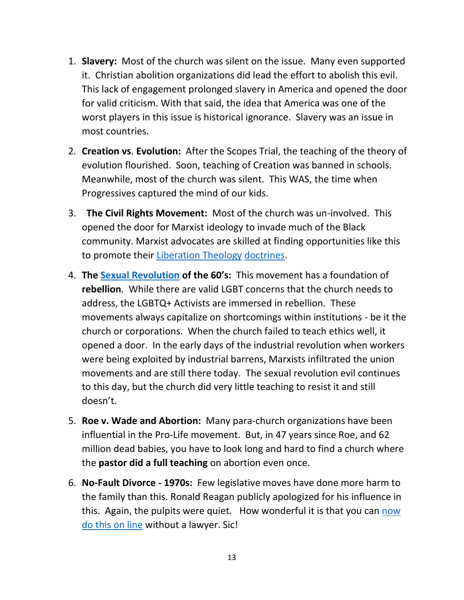- 1. **Slavery:** Most of the church was silent on the issue. Many even supported it. Christian abolition organizations did lead the effort to abolish this evil. This lack of engagement prolonged slavery in America and opened the door for valid criticism. With that said, the idea that America was one of the worst players in this issue is historical ignorance. Slavery was an issue in most countries.
- 2. **Creation vs**. **Evolution:** After the Scopes Trial, the teaching of the theory of evolution flourished. Soon, teaching of Creation was banned in schools. Meanwhile, most of the church was silent. This WAS, the time when Progressives captured the mind of our kids.
- 3. **The Civil Rights Movement:** Most of the church was un-involved. This opened the door for Marxist ideology to invade much of the Black community. Marxist advocates are skilled at finding opportunities like this to promote their [Liberation Theology](http://www.bigskyworldview.org/content/docs/Library/The_Marxist_roots_of_black_liberation_theology.pdf) [doctrines.](http://www.bigskyworldview.org/content/docs/Library/The_Long_Chains_of_Liberation_Theology_PDF.pdf)
- 4. **The [Sexual Revolution](http://www.bigskyworldview.org/content/docs/Library/Sowing_the_Sixties_Winds_Reaping_Todays_Wirlwinds.pdf) of the 60's:** This movement has a foundation of **rebellion**. While there are valid LGBT concerns that the church needs to address, the LGBTQ+ Activists are immersed in rebellion. These movements always capitalize on shortcomings within institutions - be it the church or corporations. When the church failed to teach ethics well, it opened a door. In the early days of the industrial revolution when workers were being exploited by industrial barrens, Marxists infiltrated the union movements and are still there today. The sexual revolution evil continues to this day, but the church did very little teaching to resist it and still doesn't.
- 5. **Roe v. Wade and Abortion:** Many para-church organizations have been influential in the Pro-Life movement. But, in 47 years since Roe, and 62 million dead babies, you have to look long and hard to find a church where the **pastor did a full teaching** on abortion even once.
- 6. **No-Fault Divorce - 1970s:** Few legislative moves have done more harm to the family than this. Ronald Reagan publicly apologized for his influence in this. Again, the pulpits were quiet. How wonderful it is that you can now [do this on line](https://www.onlinedivorce.com/?msclkid=f51db61521cd14a37929d64ae38f3288&utm_source=bing&utm_medium=cpc&utm_campaign=%5BP%5D%20United%20States%20%7C%20Country&utm_term=%2Bno%20%2Bfault%20%2Bdivorce&utm_content=Uncontested%20No%20Fault*%20%7C%20USA_br) without a lawyer. Sic!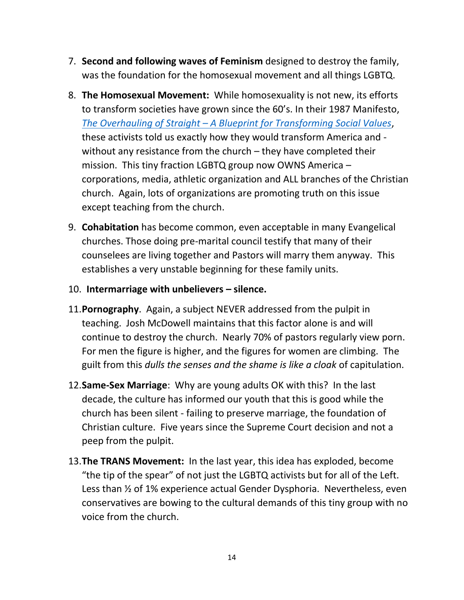- 7. **Second and following waves of Feminism** designed to destroy the family, was the foundation for the homosexual movement and all things LGBTQ.
- 8. **The Homosexual Movement:** While homosexuality is not new, its efforts to transform societies have grown since the 60's. In their 1987 Manifesto, *The Overhauling of Straight – [A Blueprint for Transforming Social Values](http://www.bigskyworldview.org/content/docs/Library/The_Overhauling_of_StraightAmerica.pdf)*, these activists told us exactly how they would transform America and without any resistance from the church – they have completed their mission. This tiny fraction LGBTQ group now OWNS America – corporations, media, athletic organization and ALL branches of the Christian church. Again, lots of organizations are promoting truth on this issue except teaching from the church.
- 9. **Cohabitation** has become common, even acceptable in many Evangelical churches. Those doing pre-marital council testify that many of their counselees are living together and Pastors will marry them anyway. This establishes a very unstable beginning for these family units.

#### 10. **Intermarriage with unbelievers – silence.**

- 11.**Pornography**. Again, a subject NEVER addressed from the pulpit in teaching. Josh McDowell maintains that this factor alone is and will continue to destroy the church. Nearly 70% of pastors regularly view porn. For men the figure is higher, and the figures for women are climbing. The guilt from this *dulls the senses and the shame is like a cloak* of capitulation.
- 12.**Same-Sex Marriage**: Why are young adults OK with this? In the last decade, the culture has informed our youth that this is good while the church has been silent - failing to preserve marriage, the foundation of Christian culture. Five years since the Supreme Court decision and not a peep from the pulpit.
- 13.**The TRANS Movement:** In the last year, this idea has exploded, become "the tip of the spear" of not just the LGBTQ activists but for all of the Left. Less than ½ of 1% experience actual Gender Dysphoria. Nevertheless, even conservatives are bowing to the cultural demands of this tiny group with no voice from the church.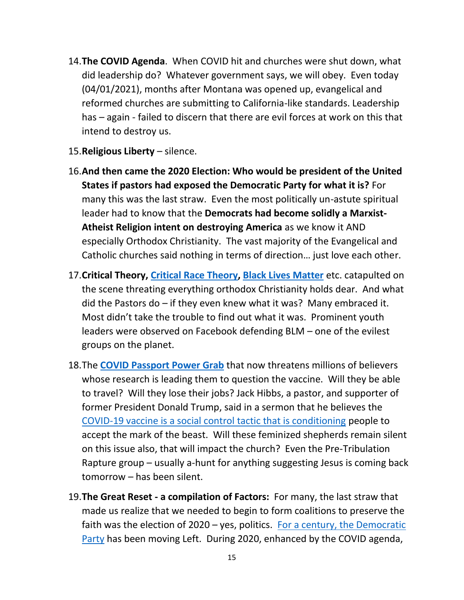- 14.**The COVID Agenda**. When COVID hit and churches were shut down, what did leadership do? Whatever government says, we will obey. Even today (04/01/2021), months after Montana was opened up, evangelical and reformed churches are submitting to California-like standards. Leadership has – again - failed to discern that there are evil forces at work on this that intend to destroy us.
- 15.**Religious Liberty**  silence.
- 16.**And then came the 2020 Election: Who would be president of the United States if pastors had exposed the Democratic Party for what it is?** For many this was the last straw. Even the most politically un-astute spiritual leader had to know that the **Democrats had become solidly a Marxist-Atheist Religion intent on destroying America** as we know it AND especially Orthodox Christianity. The vast majority of the Evangelical and Catholic churches said nothing in terms of direction… just love each other.
- 17.**Critical Theory, [Critical Race Theory,](http://www.bigskyworldview.org/content/docs/Library/Critical_Race_Theory_The_New_Tolerance_and_Its_Grip_on_America_BG3567.pdf) [Black Lives Matter](http://www.bigskyworldview.org/content/docs/Library/The_Real_Mission_of_Black_Lives_Matter.pdf)** etc. catapulted on the scene threating everything orthodox Christianity holds dear. And what did the Pastors do  $-$  if they even knew what it was? Many embraced it. Most didn't take the trouble to find out what it was. Prominent youth leaders were observed on Facebook defending BLM – one of the evilest groups on the planet.
- 18.The **[COVID Passport Power Grab](http://www.bigskyworldview.org/content/docs/Library/The_COVID_Passport_-_We_Have_The_Power_To_Say_No.pdf)** that now threatens millions of believers whose research is leading them to question the vaccine. Will they be able to travel? Will they lose their jobs? Jack Hibbs, a pastor, and supporter of former President Donald Trump, said in a sermon that he believes the [COVID-19 vaccine is a social control tactic that is conditioning](https://www.beliefnet.com/wellness/is-the-covid-19-vaccine-the-mark-of-the-beast.aspx) people to accept the mark of the beast. Will these feminized shepherds remain silent on this issue also, that will impact the church? Even the Pre-Tribulation Rapture group – usually a-hunt for anything suggesting Jesus is coming back tomorrow – has been silent.
- 19.**The Great Reset - a compilation of Factors:** For many, the last straw that made us realize that we needed to begin to form coalitions to preserve the faith was the election of 2020 – yes, politics. [For a century, the Democratic](http://www.bigskyworldview.org/content/docs/Library/Marxist_Democrats_and_the_PC_Right_Non_Dare_Call_it_Evil4.pdf)  [Party](http://www.bigskyworldview.org/content/docs/Library/Marxist_Democrats_and_the_PC_Right_Non_Dare_Call_it_Evil4.pdf) has been moving Left. During 2020, enhanced by the COVID agenda,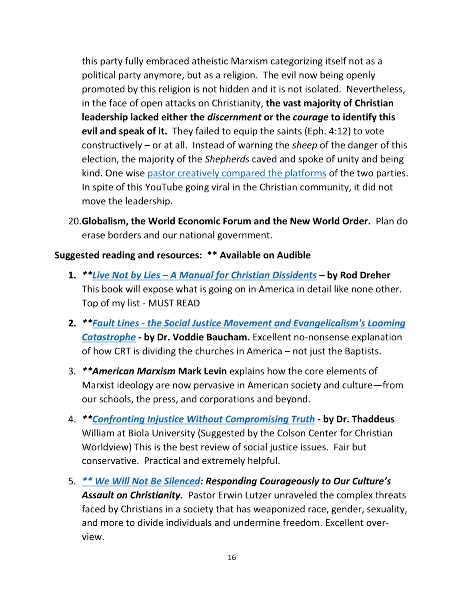this party fully embraced atheistic Marxism categorizing itself not as a political party anymore, but as a religion. The evil now being openly promoted by this religion is not hidden and it is not isolated. Nevertheless, in the face of open attacks on Christianity, **the vast majority of Christian leadership lacked either the** *discernment* **or the** *courage* **to identify this evil and speak of it.** They failed to equip the saints (Eph. 4:12) to vote constructively – or at all. Instead of warning the *sheep* of the danger of this election, the majority of the *Shepherds* caved and spoke of unity and being kind. One wise [pastor creatively compared the platforms](https://www.youtube.com/watch?v=6wInJkBEHQw) of the two parties. In spite of this YouTube going viral in the Christian community, it did not move the leadership.

20.**Globalism, the World Economic Forum and the New World Order.** Plan do erase borders and our national government.

#### **Suggested reading and resources: \*\* Available on Audible**

- **1.** *\*\*Live Not by Lies – [A Manual for Christian Dissidents](https://www.amazon.com/Live-Not-Lies-Christian-Dissidents/dp/B0892SPHYG/ref=sr_1_1?crid=15GEWPVO8NY2P&dchild=1&keywords=live+not+by+lies+a+manual+for+christian+dissidents&qid=1624816481&sprefix=Live+Not+by+Lies%2Caps%2C248&sr=8-1)* **– by Rod Dreher**  This book will expose what is going on in America in detail like none other. Top of my list - MUST READ
- **2.** *\*\*Fault Lines - [the Social Justice Movement and Evangelicalism's Looming](https://www.amazon.com/Fault-Lines-Movement-Evangelicalisms-Catastrophe/dp/B08T6G7FCQ/ref=sr_1_3?crid=20V3H65XL77GT&dchild=1&keywords=fault+lines+voddie+baucham&qid=1624816738&sprefix=Fault+%2Caps%2C255&sr=8-3)  [Catastrophe](https://www.amazon.com/Fault-Lines-Movement-Evangelicalisms-Catastrophe/dp/B08T6G7FCQ/ref=sr_1_3?crid=20V3H65XL77GT&dchild=1&keywords=fault+lines+voddie+baucham&qid=1624816738&sprefix=Fault+%2Caps%2C255&sr=8-3)* **- by Dr. Voddie Baucham.** Excellent no-nonsense explanation of how CRT is dividing the churches in America – not just the Baptists.
- 3. *\*\*American Marxism* **Mark Levin** explains how the core elements of Marxist ideology are now pervasive in American society and culture—from our schools, the press, and corporations and beyond.
- 4. *\*[\\*Confronting Injustice Without Compromising Truth](https://www.amazon.com/Confronting-Injustice-without-Compromising-Truth/dp/0310119480/ref=sr_1_1_sspa?crid=3VD92X2UPN8KF&dchild=1&keywords=confronting+injustice+without+compromising+truth&qid=1624816941&sprefix=Confronting+Injustic%2Caps%2C243&sr=8-1-spons&psc=1&spLa=ZW5jcnlwdGVkUXVhbGlmaWVyPUEyU0cwRkxOQUlCN0tZJmVuY3J5cHRlZElkPUEwNDEzMDIzMTgzT0ZISUZWWDI4VCZlbmNyeXB0ZWRBZElkPUEwNDk4NzQ0MlJRSlFHTDdSUVVKVSZ3aWRnZXROYW1lPXNwX2F0ZiZhY3Rpb249Y2xpY2tSZWRpcmVjdCZkb05vdExvZ0NsaWNrPXRydWU=)* **- by Dr. Thaddeus**  William at Biola University (Suggested by the Colson Center for Christian Worldview) This is the best review of social justice issues. Fair but conservative. Practical and extremely helpful.
- 5. *[\\*\\* We Will Not Be Silenced](https://www.amazon.com/Will-Not-Silenced-Workbook-Courageously/dp/0736985557/ref=sr_1_1_sspa?crid=34PBD61MIGKHV&dchild=1&keywords=we+will+not+be+silenced+erwin+lutzer&qid=1626280623&sprefix=We+Will+Not+%2Caps%2C294&sr=8-1-spons&psc=1&spLa=ZW5jcnlwdGVkUXVhbGlmaWVyPUFFNUIySUZHVlFSV04mZW5jcnlwdGVkSWQ9QTAzMjYzMDgzVE1IUTYwVVRBMFJRJmVuY3J5cHRlZEFkSWQ9QTAxMzU0MzEzQ0FaMUJBTVZVMDUyJndpZGdldE5hbWU9c3BfYXRmJmFjdGlvbj1jbGlja1JlZGlyZWN0JmRvTm90TG9nQ2xpY2s9dHJ1ZQ==): Responding Courageously to Our Culture's*  Assault on Christianity. Pastor Erwin Lutzer unraveled the complex threats faced by Christians in a society that has weaponized race, gender, sexuality, and more to divide individuals and undermine freedom. Excellent overview.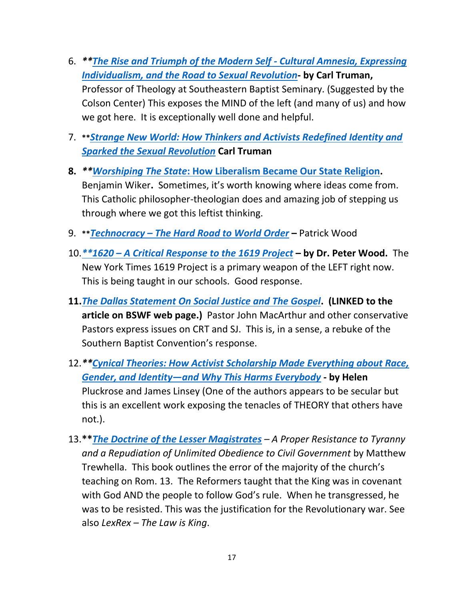- 6. *\*[\\*The Rise and Triumph of the Modern Self -](https://www.amazon.com/gp/product/B089DNYCDY/ref=dbs_a_def_rwt_hsch_vapi_taft_p1_i0) Cultural Amnesia, Expressing [Individualism, and the Road to Sexual Revolution](https://www.amazon.com/gp/product/B089DNYCDY/ref=dbs_a_def_rwt_hsch_vapi_taft_p1_i0)***- by Carl Truman,**  Professor of Theology at Southeastern Baptist Seminary. (Suggested by the Colson Center) This exposes the MIND of the left (and many of us) and how we got here. It is exceptionally well done and helpful.
- 7. **\*\****[Strange New World: How Thinkers and Activists Redefined Identity and](https://www.amazon.com/Strange-New-World-Activists-Revolution/dp/1433579308/ref=sxin_10_mbs_w_global_sims?content-id=amzn1.sym.167d0880-9da0-400b-938e-4382731a4102%3Aamzn1.sym.167d0880-9da0-400b-938e-4382731a4102&crid=2A3DL1LOTXS8R&cv_ct_cx=the+rise+and+triumph+of+modern+self&keywords=the+rise+and+triumph+of+modern+self&pd_rd_i=1433579308&pd_rd_r=e2e686e9-2d12-4c7c-8f63-e2902976c025&pd_rd_w=y6wl0&pd_rd_wg=LVTAF&pf_rd_p=167d0880-9da0-400b-938e-4382731a4102&pf_rd_r=K5PFP4QBW3Q8VDJMZ15E&qid=1653694364&sprefix=The+Rise+and+T%2Caps%2C187&sr=1-1-9e7645f9-2d19-4bff-863e-f6cdbe50f990)  [Sparked the Sexual Revolution](https://www.amazon.com/Strange-New-World-Activists-Revolution/dp/1433579308/ref=sxin_10_mbs_w_global_sims?content-id=amzn1.sym.167d0880-9da0-400b-938e-4382731a4102%3Aamzn1.sym.167d0880-9da0-400b-938e-4382731a4102&crid=2A3DL1LOTXS8R&cv_ct_cx=the+rise+and+triumph+of+modern+self&keywords=the+rise+and+triumph+of+modern+self&pd_rd_i=1433579308&pd_rd_r=e2e686e9-2d12-4c7c-8f63-e2902976c025&pd_rd_w=y6wl0&pd_rd_wg=LVTAF&pf_rd_p=167d0880-9da0-400b-938e-4382731a4102&pf_rd_r=K5PFP4QBW3Q8VDJMZ15E&qid=1653694364&sprefix=The+Rise+and+T%2Caps%2C187&sr=1-1-9e7645f9-2d19-4bff-863e-f6cdbe50f990)* **Carl Truman**
- **8.** *\*\*Worshiping The State***[: How Liberalism Became Our State Religion.](https://www.amazon.com/Worshipping-State-Liberalism-Became-Religion/dp/1621570290/ref=sr_1_1?dchild=1&keywords=worshipping+the+state&qid=1634075410&sr=8-1)**  Benjamin Wiker**.** Sometimes, it's worth knowing where ideas come from. This Catholic philosopher-theologian does and amazing job of stepping us through where we got this leftist thinking.
- 9. **\*\****Technocracy – [The Hard Road to World Order](https://www.amazon.com/s?k=technocracy+the+hard+road+to+world+order&crid=19RVN8B97Q2TI&sprefix=Technocracy%2Caps%2C181&ref=nb_sb_ss_ts-doa-p_4_11)* **–** Patrick Wood
- 10.*\*\*1620 – [A Critical Response to the 1619 Project](https://www.amazon.com/1620-Critical-Response-1619-Project/dp/B08GGBBLYG/ref=sr_1_3?crid=1WZDA0OJ48619&dchild=1&keywords=1620+a+critical+response+to+the+1619+project&qid=1624818403&sprefix=1620%2Caps%2C280&sr=8-3)* **– by Dr. Peter Wood.** The New York Times 1619 Project is a primary weapon of the LEFT right now. This is being taught in our schools. Good response.
- **11.***[The Dallas Statement On Social Justice and The Gospel](http://www.bigskyworldview.org/content/docs/Library/The_Dallas_Statemen_On_Social_Justice_and_The_Gospel_TEXT.pdf)***. (LINKED to the article on BSWF web page.)** Pastor John MacArthur and other conservative Pastors express issues on CRT and SJ. This is, in a sense, a rebuke of the Southern Baptist Convention's response.
- 12.*\*[\\*Cynical Theories: How Activist Scholarship Made Everything about Race,](https://www.amazon.com/Cynical-Theories-Scholarship-Everything-Everybody/dp/B08LDSWJ9V/ref=sr_1_3?crid=27ABI1J80D0E9&dchild=1&keywords=cynical+theories+by+helen+pluckrose+and+james+lindsay&qid=1624818533&sprefix=Cynical%2Caps%2C273&sr=8-3)  [Gender, and Identity―and Why This Harms Everybody](https://www.amazon.com/Cynical-Theories-Scholarship-Everything-Everybody/dp/B08LDSWJ9V/ref=sr_1_3?crid=27ABI1J80D0E9&dchild=1&keywords=cynical+theories+by+helen+pluckrose+and+james+lindsay&qid=1624818533&sprefix=Cynical%2Caps%2C273&sr=8-3)* **- by Helen**  Pluckrose and James Linsey (One of the authors appears to be secular but this is an excellent work exposing the tenacles of THEORY that others have not.).
- 13.**\*\****[The Doctrine of the Lesser Magistrates](https://www.amazon.com/Doctrine-Lesser-Magistrates-Resistance-Repudiation/dp/1482327686/ref=sr_1_1?crid=964LOGGXBHC9&dchild=1&keywords=the+doctrine+of+the+lesser+magistrates&qid=1627508630&sprefix=The+Doctrin+%2Caps%2C255&sr=8-1) – A Proper Resistance to Tyranny and a Repudiation of Unlimited Obedience to Civil Government* by Matthew Trewhella. This book outlines the error of the majority of the church's teaching on Rom. 13. The Reformers taught that the King was in covenant with God AND the people to follow God's rule. When he transgressed, he was to be resisted. This was the justification for the Revolutionary war. See also *LexRex – The Law is King*.